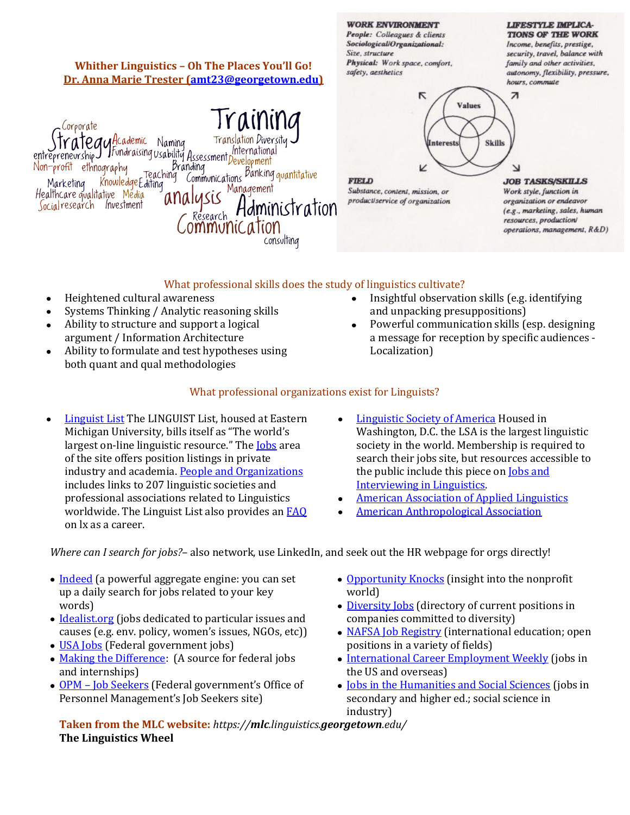## Size, structure security, travel, balance with Physical: Work space, comfort, family and other activities, **Whither Linguistics – Oh The Places You'll Go!** safety, aesthetics autonomy, flexibility, pressure, **Dr. Anna Marie Trester [\(amt23@georgetown.edu\)](mailto:amt23@georgetown.edu)** hours, commute  $\triangledown$  $\overline{\phantom{a}}$ **Values** Traininc Corporate Paul<sup>Hcademic</sup> Namina Translation Diversitu Skills Interests entrepreneurship fundraising usability Assessment International International Non-profit ethnography Branding *Pranding*<br>Teaching Communications <sup>Banking</sup> quantitative v Knowledge Editing **FIELD JOB TASKS/SKILLS** Marketing Management Substance, content, mission, or Healthcare qualitative Media Work style, function in ana product/service of organization organization or endeavor Socialresearch Investment Hdministration (e.g., marketing, sales, human 'esearch resources, production/ ommunic.ation operations, management, R&D) consulting

**WORK ENVIRONMENT** 

People: Colleagues & clients Sociological/Organizational:

## What professional skills does the study of linguistics cultivate?

- Heightened cultural awareness  $\bullet$
- Systems Thinking / Analytic reasoning skills  $\bullet$
- Ability to structure and support a logical  $\bullet$ argument / Information Architecture
- Ability to formulate and test hypotheses using  $\bullet$ both quant and qual methodologies
- Insightful observation skills (e.g. identifying and unpacking presuppositions)
- Powerful communication skills (esp. designing a message for reception by specific audiences - Localization)

**LIFESTYLE IMPLICA-TIONS OF THE WORK** 

Income, benefits, prestige,

## What professional organizations exist for Linguists?

- [Linguist List](http://linguistlist.org/) The LINGUIST List, housed at Eastern  $\bullet$ Michigan University, bills itself as "The world's largest on-line linguistic resource." The **[Jobs](http://linguistlist.org/jobs/index.html)** area of the site offers position listings in private industry and academia[. People and Organizations](http://linguistlist.org/people/index.html) includes links to 207 linguistic societies and professional associations related to Linguistics worldwide. The Linguist List also provides a[n FAQ](http://linguistlist.org/ask-ling/career.html) on lx as a career.
- [Linguistic Society of America](http://www.lsadc.org/index.cfm/) Housed in Washington, D.C. the LSA is the largest linguistic society in the world. Membership is required to search their jobs site, but resources accessible to the public include this piece on [Jobs and](http://www.lsadc.org/info/jobs-interview.cfm)  [Interviewing in Linguistics.](http://www.lsadc.org/info/jobs-interview.cfm)
- [American Association of Applied Linguistics](http://www.aaal.org/)
- [American Anthropological Association](http://www.aaanet.org/)

*Where can I search for jobs?*– also network, use LinkedIn, and seek out the HR webpage for orgs directly!

- [Indeed](http://www.indeed.com/) (a powerful aggregate engine: you can set up a daily search for jobs related to your key words)
- [Idealist.org](http://www.idealist.org/) (jobs dedicated to particular issues and causes (e.g. env. policy, women's issues, NGOs, etc))
- [USA Jobs](http://www.usajobs.opm.gov/) (Federal government jobs)
- [Making the Difference:](http://www.makingthedifference.org/index.shtml) (A source for federal jobs and internships)
- OPM [Job Seekers](http://www.opm.gov/job_seekers/) (Federal government's Office of Personnel Management's Job Seekers site)
- [Opportunity Knocks](http://www.opportunityknocks.org/) (insight into the nonprofit world)
- [Diversity Jobs](http://www.diversity-jobs.com/) (directory of current positions in companies committed to diversity)
- [NAFSA Job Registry](http://www.nafsa.org/) (international education; open positions in a variety of fields)
- [International Career Employment Weekly](http://www.internationaljobs.org/) (jobs in the US and overseas)
- [Jobs in the Humanities and Social Sciences](http://www.h-net.org/jobs/) (jobs in secondary and higher ed.; social science in industry)

**Taken from the MLC website:** *https://mlc.linguistics.georgetown.edu/* **The Linguistics Wheel**